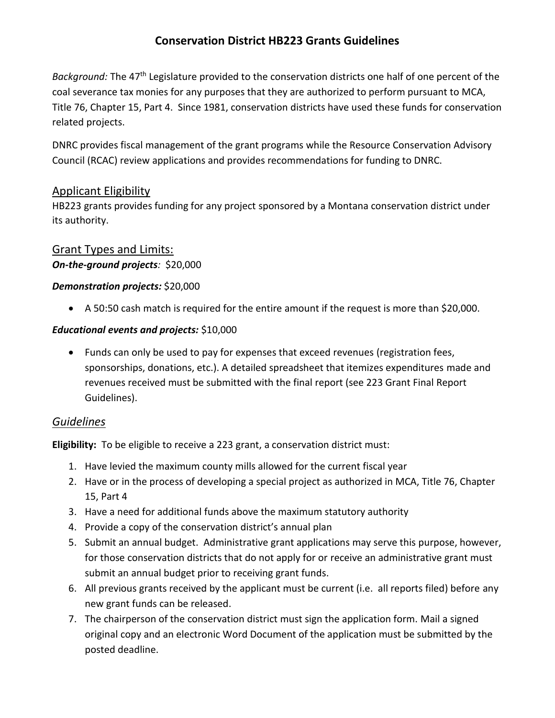# **Conservation District HB223 Grants Guidelines**

*Background:* The 47th Legislature provided to the conservation districts one half of one percent of the coal severance tax monies for any purposes that they are authorized to perform pursuant to MCA, Title 76, Chapter 15, Part 4. Since 1981, conservation districts have used these funds for conservation related projects.

DNRC provides fiscal management of the grant programs while the Resource Conservation Advisory Council (RCAC) review applications and provides recommendations for funding to DNRC.

## Applicant Eligibility

HB223 grants provides funding for any project sponsored by a Montana conservation district under its authority.

## Grant Types and Limits: *On-the-ground projects:* \$20,000

### *Demonstration projects:* \$20,000

• A 50:50 cash match is required for the entire amount if the request is more than \$20,000.

### *Educational events and projects:* \$10,000

• Funds can only be used to pay for expenses that exceed revenues (registration fees, sponsorships, donations, etc.). A detailed spreadsheet that itemizes expenditures made and revenues received must be submitted with the final report (see 223 Grant Final Report Guidelines).

## *Guidelines*

**Eligibility:** To be eligible to receive a 223 grant, a conservation district must:

- 1. Have levied the maximum county mills allowed for the current fiscal year
- 2. Have or in the process of developing a special project as authorized in MCA, Title 76, Chapter 15, Part 4
- 3. Have a need for additional funds above the maximum statutory authority
- 4. Provide a copy of the conservation district's annual plan
- 5. Submit an annual budget. Administrative grant applications may serve this purpose, however, for those conservation districts that do not apply for or receive an administrative grant must submit an annual budget prior to receiving grant funds.
- 6. All previous grants received by the applicant must be current (i.e. all reports filed) before any new grant funds can be released.
- 7. The chairperson of the conservation district must sign the application form. Mail a signed original copy and an electronic Word Document of the application must be submitted by the posted deadline.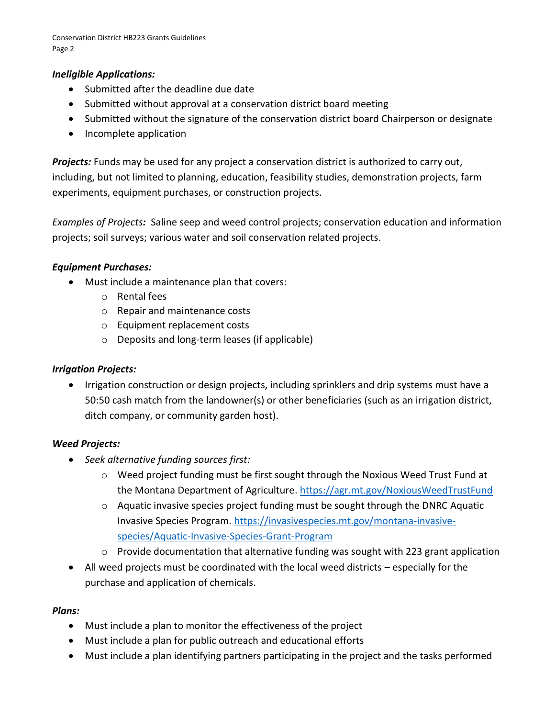Conservation District HB223 Grants Guidelines Page 2

#### *Ineligible Applications:*

- Submitted after the deadline due date
- Submitted without approval at a conservation district board meeting
- Submitted without the signature of the conservation district board Chairperson or designate
- Incomplete application

*Projects:* Funds may be used for any project a conservation district is authorized to carry out, including, but not limited to planning, education, feasibility studies, demonstration projects, farm experiments, equipment purchases, or construction projects.

*Examples of Projects:* Saline seep and weed control projects; conservation education and information projects; soil surveys; various water and soil conservation related projects.

#### *Equipment Purchases:*

- Must include a maintenance plan that covers:
	- o Rental fees
	- o Repair and maintenance costs
	- o Equipment replacement costs
	- o Deposits and long-term leases (if applicable)

#### *Irrigation Projects:*

• Irrigation construction or design projects, including sprinklers and drip systems must have a 50:50 cash match from the landowner(s) or other beneficiaries (such as an irrigation district, ditch company, or community garden host).

#### *Weed Projects:*

- *Seek alternative funding sources first:*
	- $\circ$  Weed project funding must be first sought through the Noxious Weed Trust Fund at the Montana Department of Agriculture. <https://agr.mt.gov/NoxiousWeedTrustFund>
	- o Aquatic invasive species project funding must be sought through the DNRC Aquatic Invasive Species Program. [https://invasivespecies.mt.gov/montana-invasive](https://invasivespecies.mt.gov/montana-invasive-species/Aquatic-Invasive-Species-Grant-Program)[species/Aquatic-Invasive-Species-Grant-Program](https://invasivespecies.mt.gov/montana-invasive-species/Aquatic-Invasive-Species-Grant-Program)
	- $\circ$  Provide documentation that alternative funding was sought with 223 grant application
- All weed projects must be coordinated with the local weed districts especially for the purchase and application of chemicals.

#### *Plans:*

- Must include a plan to monitor the effectiveness of the project
- Must include a plan for public outreach and educational efforts
- Must include a plan identifying partners participating in the project and the tasks performed